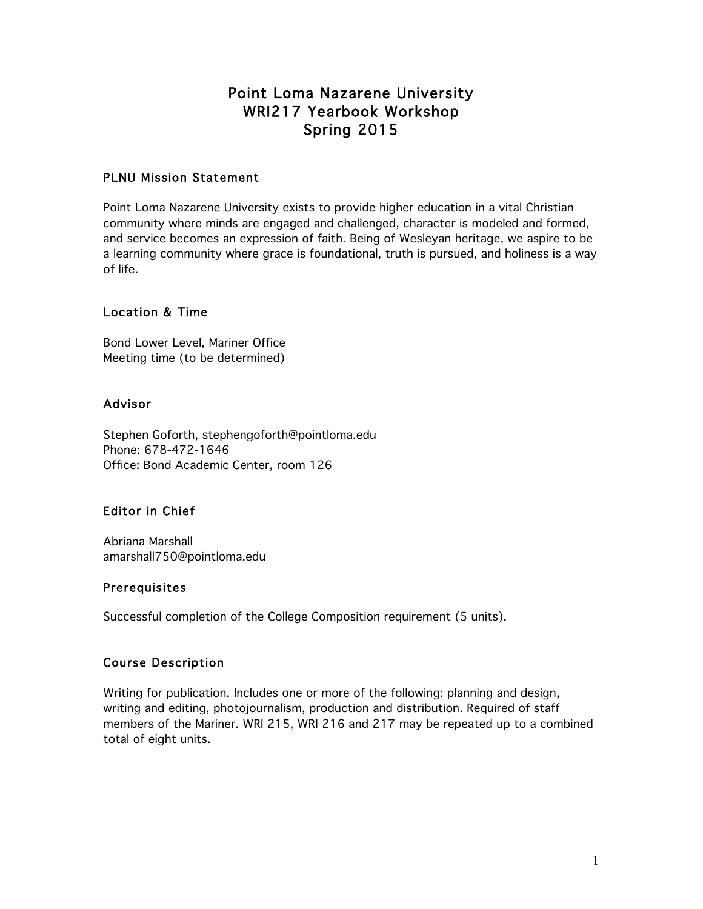# Point Loma Nazarene University WRI217 Yearbook Workshop Spring 2015

### PLNU Mission Statement

Point Loma Nazarene University exists to provide higher education in a vital Christian community where minds are engaged and challenged, character is modeled and formed, and service becomes an expression of faith. Being of Wesleyan heritage, we aspire to be a learning community where grace is foundational, truth is pursued, and holiness is a way of life.

# Location & Time

Bond Lower Level, Mariner Office Meeting time (to be determined)

### Advisor

Stephen Goforth, stephengoforth@pointloma.edu Phone: 678-472-1646 Office: Bond Academic Center, room 126

# Editor in Chief

Abriana Marshall amarshall750@pointloma.edu

### Prerequisites

Successful completion of the College Composition requirement (5 units).

### Course Description

Writing for publication. Includes one or more of the following: planning and design, writing and editing, photojournalism, production and distribution. Required of staff members of the Mariner. WRI 215, WRI 216 and 217 may be repeated up to a combined total of eight units.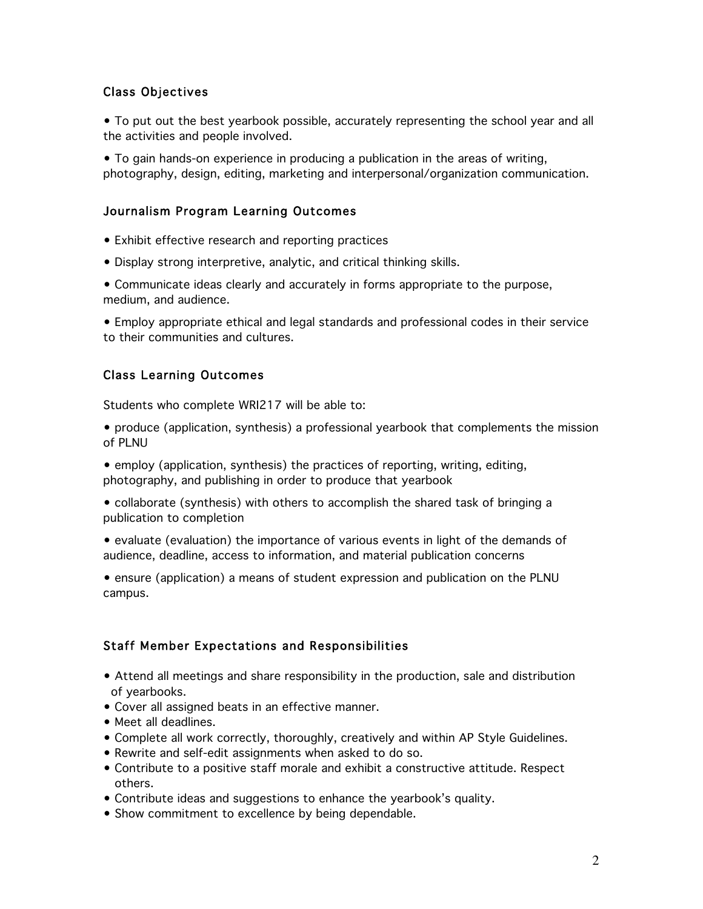### Class Objectives

• To put out the best yearbook possible, accurately representing the school year and all the activities and people involved.

• To gain hands-on experience in producing a publication in the areas of writing, photography, design, editing, marketing and interpersonal/organization communication.

### Journalism Program Learning Outcomes

- Exhibit effective research and reporting practices
- Display strong interpretive, analytic, and critical thinking skills.
- Communicate ideas clearly and accurately in forms appropriate to the purpose, medium, and audience.

• Employ appropriate ethical and legal standards and professional codes in their service to their communities and cultures.

#### Class Learning Outcomes

Students who complete WRI217 will be able to:

- produce (application, synthesis) a professional yearbook that complements the mission of PLNU
- employ (application, synthesis) the practices of reporting, writing, editing, photography, and publishing in order to produce that yearbook
- collaborate (synthesis) with others to accomplish the shared task of bringing a publication to completion
- evaluate (evaluation) the importance of various events in light of the demands of audience, deadline, access to information, and material publication concerns
- ensure (application) a means of student expression and publication on the PLNU campus.

### Staff Member Expectations and Responsibilities

- Attend all meetings and share responsibility in the production, sale and distribution of yearbooks.
- Cover all assigned beats in an effective manner.
- Meet all deadlines.
- Complete all work correctly, thoroughly, creatively and within AP Style Guidelines.
- Rewrite and self-edit assignments when asked to do so.
- Contribute to a positive staff morale and exhibit a constructive attitude. Respect others.
- Contribute ideas and suggestions to enhance the yearbook's quality.
- Show commitment to excellence by being dependable.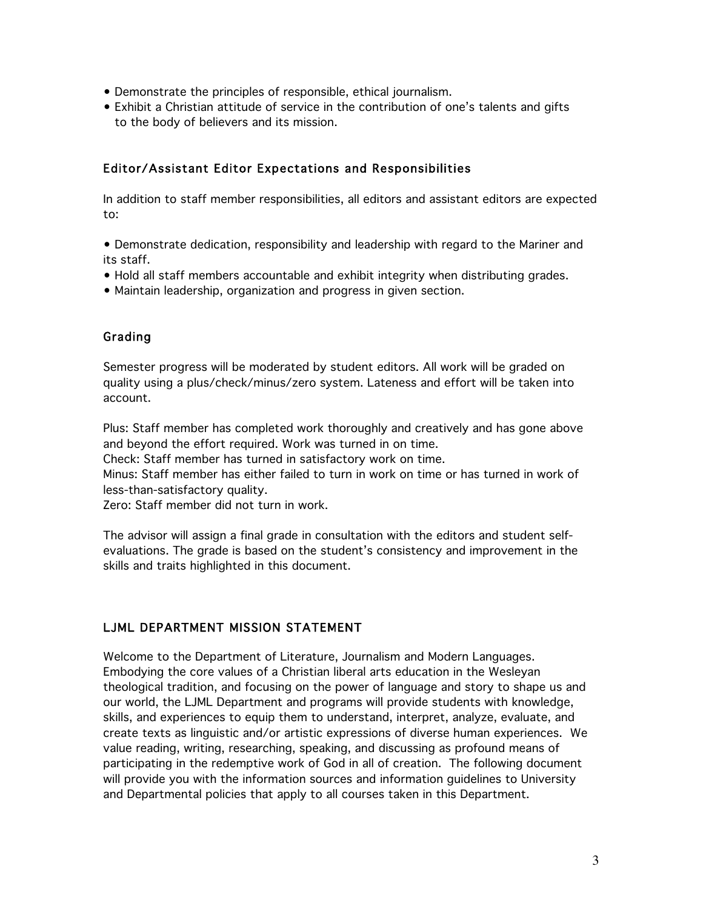- Demonstrate the principles of responsible, ethical journalism.
- Exhibit a Christian attitude of service in the contribution of one's talents and gifts to the body of believers and its mission.

### Editor/Assistant Editor Expectations and Responsibilities

In addition to staff member responsibilities, all editors and assistant editors are expected to:

• Demonstrate dedication, responsibility and leadership with regard to the Mariner and its staff.

- Hold all staff members accountable and exhibit integrity when distributing grades.
- Maintain leadership, organization and progress in given section.

# Grading

Semester progress will be moderated by student editors. All work will be graded on quality using a plus/check/minus/zero system. Lateness and effort will be taken into account.

Plus: Staff member has completed work thoroughly and creatively and has gone above and beyond the effort required. Work was turned in on time.

Check: Staff member has turned in satisfactory work on time.

Minus: Staff member has either failed to turn in work on time or has turned in work of less-than-satisfactory quality.

Zero: Staff member did not turn in work.

The advisor will assign a final grade in consultation with the editors and student selfevaluations. The grade is based on the student's consistency and improvement in the skills and traits highlighted in this document.

# LJML DEPARTMENT MISSION STATEMENT

Welcome to the Department of Literature, Journalism and Modern Languages. Embodying the core values of a Christian liberal arts education in the Wesleyan theological tradition, and focusing on the power of language and story to shape us and our world, the LJML Department and programs will provide students with knowledge, skills, and experiences to equip them to understand, interpret, analyze, evaluate, and create texts as linguistic and/or artistic expressions of diverse human experiences. We value reading, writing, researching, speaking, and discussing as profound means of participating in the redemptive work of God in all of creation. The following document will provide you with the information sources and information guidelines to University and Departmental policies that apply to all courses taken in this Department.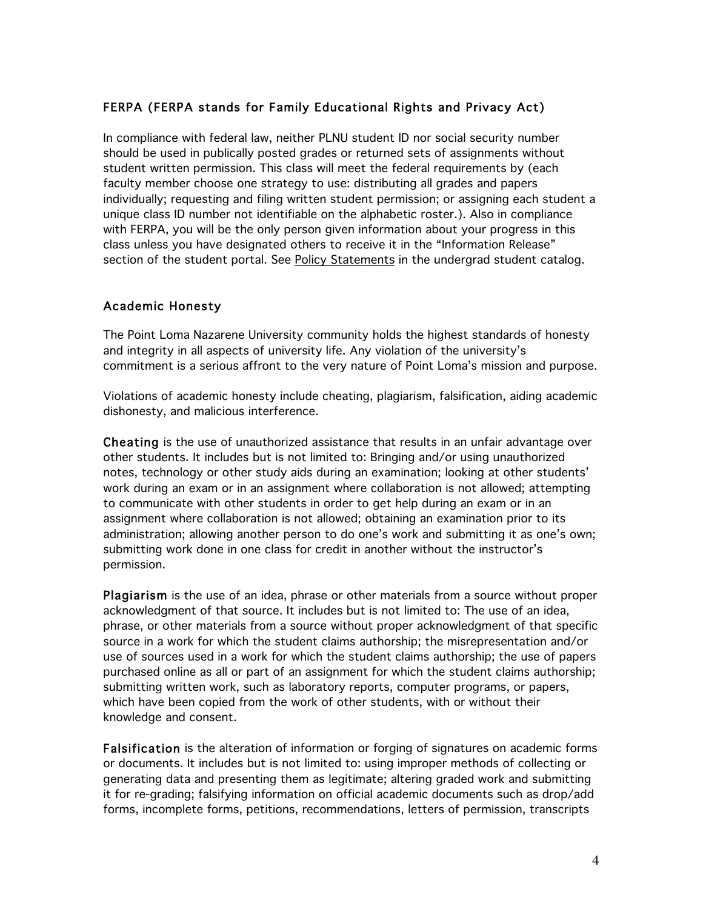# FERPA (FERPA stands for Family Educational Rights and Privacy Act)

In compliance with federal law, neither PLNU student ID nor social security number should be used in publically posted grades or returned sets of assignments without student written permission. This class will meet the federal requirements by (each faculty member choose one strategy to use: distributing all grades and papers individually; requesting and filing written student permission; or assigning each student a unique class ID number not identifiable on the alphabetic roster.). Also in compliance with FERPA, you will be the only person given information about your progress in this class unless you have designated others to receive it in the "Information Release" section of the student portal. See Policy Statements in the undergrad student catalog.

# Academic Honesty

The Point Loma Nazarene University community holds the highest standards of honesty and integrity in all aspects of university life. Any violation of the university's commitment is a serious affront to the very nature of Point Loma's mission and purpose.

Violations of academic honesty include cheating, plagiarism, falsification, aiding academic dishonesty, and malicious interference.

Cheating is the use of unauthorized assistance that results in an unfair advantage over other students. It includes but is not limited to: Bringing and/or using unauthorized notes, technology or other study aids during an examination; looking at other students' work during an exam or in an assignment where collaboration is not allowed; attempting to communicate with other students in order to get help during an exam or in an assignment where collaboration is not allowed; obtaining an examination prior to its administration; allowing another person to do one's work and submitting it as one's own; submitting work done in one class for credit in another without the instructor's permission.

Plagiarism is the use of an idea, phrase or other materials from a source without proper acknowledgment of that source. It includes but is not limited to: The use of an idea, phrase, or other materials from a source without proper acknowledgment of that specific source in a work for which the student claims authorship; the misrepresentation and/or use of sources used in a work for which the student claims authorship; the use of papers purchased online as all or part of an assignment for which the student claims authorship; submitting written work, such as laboratory reports, computer programs, or papers, which have been copied from the work of other students, with or without their knowledge and consent.

Falsification is the alteration of information or forging of signatures on academic forms or documents. It includes but is not limited to: using improper methods of collecting or generating data and presenting them as legitimate; altering graded work and submitting it for re-grading; falsifying information on official academic documents such as drop/add forms, incomplete forms, petitions, recommendations, letters of permission, transcripts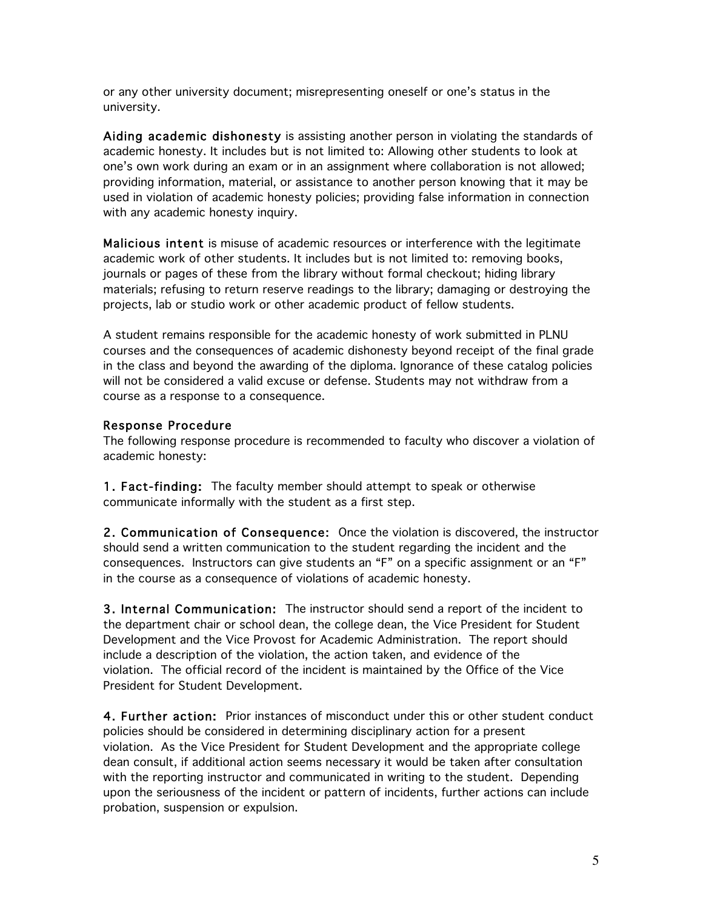or any other university document; misrepresenting oneself or one's status in the university.

Aiding academic dishonesty is assisting another person in violating the standards of academic honesty. It includes but is not limited to: Allowing other students to look at one's own work during an exam or in an assignment where collaboration is not allowed; providing information, material, or assistance to another person knowing that it may be used in violation of academic honesty policies; providing false information in connection with any academic honesty inquiry.

Malicious intent is misuse of academic resources or interference with the legitimate academic work of other students. It includes but is not limited to: removing books, journals or pages of these from the library without formal checkout; hiding library materials; refusing to return reserve readings to the library; damaging or destroying the projects, lab or studio work or other academic product of fellow students.

A student remains responsible for the academic honesty of work submitted in PLNU courses and the consequences of academic dishonesty beyond receipt of the final grade in the class and beyond the awarding of the diploma. Ignorance of these catalog policies will not be considered a valid excuse or defense. Students may not withdraw from a course as a response to a consequence.

### Response Procedure

The following response procedure is recommended to faculty who discover a violation of academic honesty:

1. Fact-finding: The faculty member should attempt to speak or otherwise communicate informally with the student as a first step.

2. Communication of Consequence: Once the violation is discovered, the instructor should send a written communication to the student regarding the incident and the consequences. Instructors can give students an "F" on a specific assignment or an "F" in the course as a consequence of violations of academic honesty.

3. Internal Communication: The instructor should send a report of the incident to the department chair or school dean, the college dean, the Vice President for Student Development and the Vice Provost for Academic Administration. The report should include a description of the violation, the action taken, and evidence of the violation. The official record of the incident is maintained by the Office of the Vice President for Student Development.

4. Further action: Prior instances of misconduct under this or other student conduct policies should be considered in determining disciplinary action for a present violation. As the Vice President for Student Development and the appropriate college dean consult, if additional action seems necessary it would be taken after consultation with the reporting instructor and communicated in writing to the student. Depending upon the seriousness of the incident or pattern of incidents, further actions can include probation, suspension or expulsion.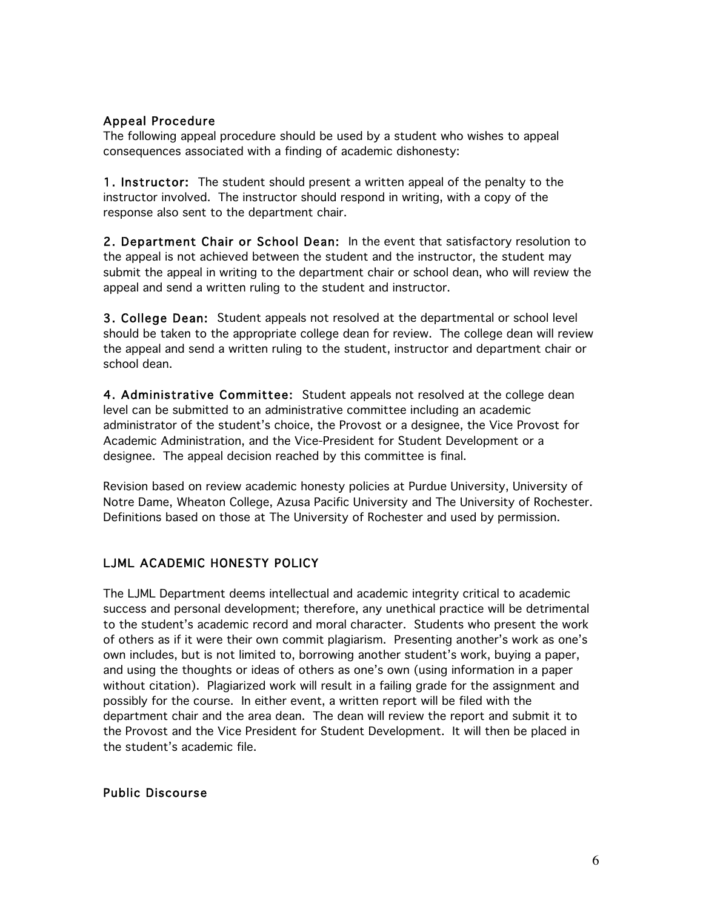### Appeal Procedure

The following appeal procedure should be used by a student who wishes to appeal consequences associated with a finding of academic dishonesty:

1. Instructor: The student should present a written appeal of the penalty to the instructor involved. The instructor should respond in writing, with a copy of the response also sent to the department chair.

2. Department Chair or School Dean: In the event that satisfactory resolution to the appeal is not achieved between the student and the instructor, the student may submit the appeal in writing to the department chair or school dean, who will review the appeal and send a written ruling to the student and instructor.

3. College Dean: Student appeals not resolved at the departmental or school level should be taken to the appropriate college dean for review. The college dean will review the appeal and send a written ruling to the student, instructor and department chair or school dean.

4. Administrative Committee: Student appeals not resolved at the college dean level can be submitted to an administrative committee including an academic administrator of the student's choice, the Provost or a designee, the Vice Provost for Academic Administration, and the Vice-President for Student Development or a designee. The appeal decision reached by this committee is final.

Revision based on review academic honesty policies at Purdue University, University of Notre Dame, Wheaton College, Azusa Pacific University and The University of Rochester. Definitions based on those at The University of Rochester and used by permission.

# LJML ACADEMIC HONESTY POLICY

The LJML Department deems intellectual and academic integrity critical to academic success and personal development; therefore, any unethical practice will be detrimental to the student's academic record and moral character. Students who present the work of others as if it were their own commit plagiarism. Presenting another's work as one's own includes, but is not limited to, borrowing another student's work, buying a paper, and using the thoughts or ideas of others as one's own (using information in a paper without citation). Plagiarized work will result in a failing grade for the assignment and possibly for the course. In either event, a written report will be filed with the department chair and the area dean. The dean will review the report and submit it to the Provost and the Vice President for Student Development. It will then be placed in the student's academic file.

### Public Discourse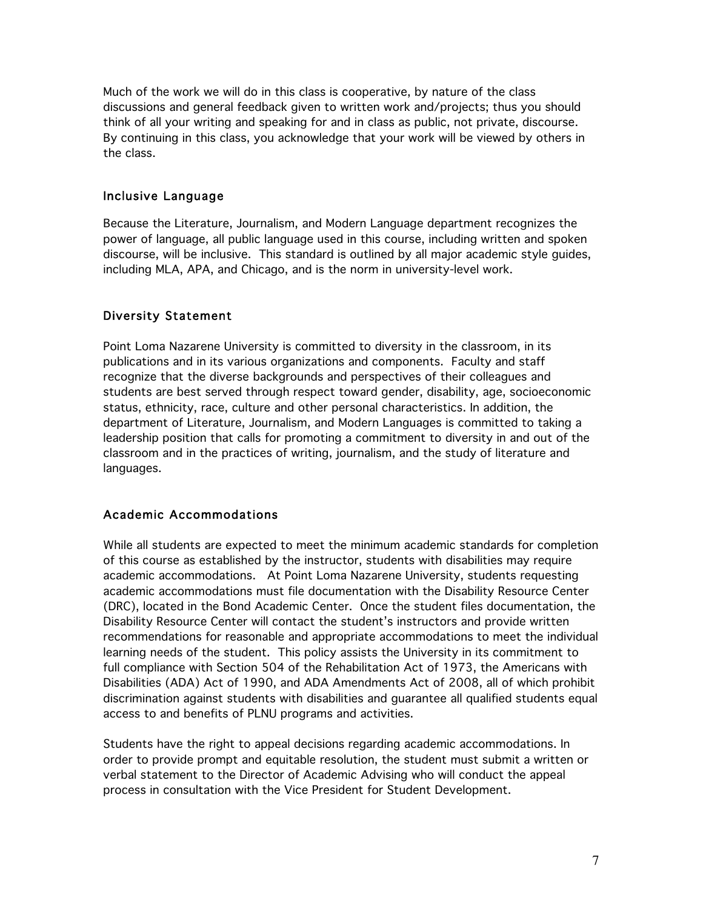Much of the work we will do in this class is cooperative, by nature of the class discussions and general feedback given to written work and/projects; thus you should think of all your writing and speaking for and in class as public, not private, discourse. By continuing in this class, you acknowledge that your work will be viewed by others in the class.

#### Inclusive Language

Because the Literature, Journalism, and Modern Language department recognizes the power of language, all public language used in this course, including written and spoken discourse, will be inclusive. This standard is outlined by all major academic style guides, including MLA, APA, and Chicago, and is the norm in university-level work.

### Diversity Statement

Point Loma Nazarene University is committed to diversity in the classroom, in its publications and in its various organizations and components. Faculty and staff recognize that the diverse backgrounds and perspectives of their colleagues and students are best served through respect toward gender, disability, age, socioeconomic status, ethnicity, race, culture and other personal characteristics. In addition, the department of Literature, Journalism, and Modern Languages is committed to taking a leadership position that calls for promoting a commitment to diversity in and out of the classroom and in the practices of writing, journalism, and the study of literature and languages.

#### Academic Accommodations

While all students are expected to meet the minimum academic standards for completion of this course as established by the instructor, students with disabilities may require academic accommodations. At Point Loma Nazarene University, students requesting academic accommodations must file documentation with the Disability Resource Center (DRC), located in the Bond Academic Center. Once the student files documentation, the Disability Resource Center will contact the student's instructors and provide written recommendations for reasonable and appropriate accommodations to meet the individual learning needs of the student. This policy assists the University in its commitment to full compliance with Section 504 of the Rehabilitation Act of 1973, the Americans with Disabilities (ADA) Act of 1990, and ADA Amendments Act of 2008, all of which prohibit discrimination against students with disabilities and guarantee all qualified students equal access to and benefits of PLNU programs and activities.

Students have the right to appeal decisions regarding academic accommodations. In order to provide prompt and equitable resolution, the student must submit a written or verbal statement to the Director of Academic Advising who will conduct the appeal process in consultation with the Vice President for Student Development.